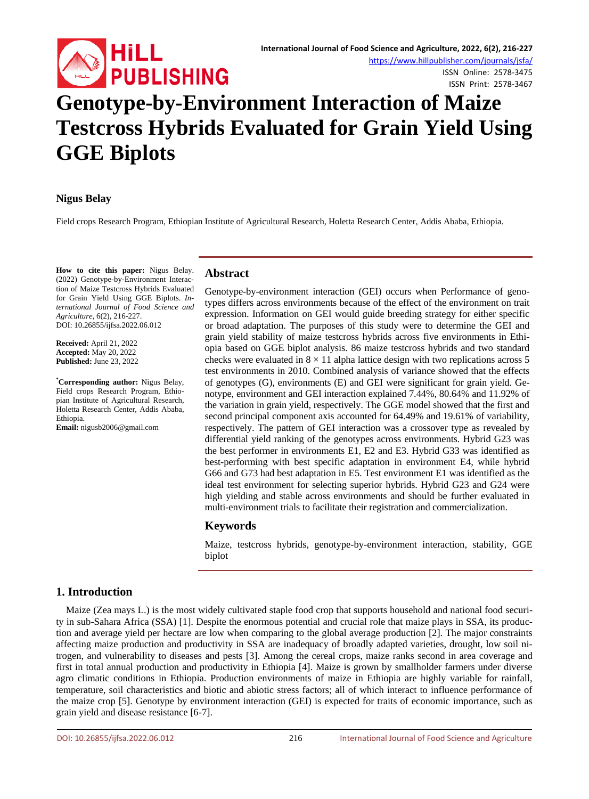

ISSN Online: 2578-3475 ISSN Print: 2578-3467

# **Genotype-by-Environment Interaction of Maize Testcross Hybrids Evaluated for Grain Yield Using GGE Biplots**

# **Nigus Belay**

Field crops Research Program, Ethiopian Institute of Agricultural Research, Holetta Research Center, Addis Ababa, Ethiopia.

**How to cite this paper:** Nigus Belay. (2022) Genotype-by-Environment Interaction of Maize Testcross Hybrids Evaluated for Grain Yield Using GGE Biplots. *International Journal of Food Science and Agriculture*, 6(2), 216-227. DOI: 10.26855/ijfsa.2022.06.012

**Received:** April 21, 2022 **Accepted:** May 20, 2022 **Published:** June 23, 2022

**\* Corresponding author:** Nigus Belay, Field crops Research Program, Ethiopian Institute of Agricultural Research, Holetta Research Center, Addis Ababa, Ethiopia.

**Email:** nigusb2006@gmail.com

# **Abstract**

Genotype-by-environment interaction (GEI) occurs when Performance of genotypes differs across environments because of the effect of the environment on trait expression. Information on GEI would guide breeding strategy for either specific or broad adaptation. The purposes of this study were to determine the GEI and grain yield stability of maize testcross hybrids across five environments in Ethiopia based on GGE biplot analysis. 86 maize testcross hybrids and two standard checks were evaluated in  $8 \times 11$  alpha lattice design with two replications across 5 test environments in 2010. Combined analysis of variance showed that the effects of genotypes (G), environments (E) and GEI were significant for grain yield. Genotype, environment and GEI interaction explained 7.44%, 80.64% and 11.92% of the variation in grain yield, respectively. The GGE model showed that the first and second principal component axis accounted for 64.49% and 19.61% of variability, respectively. The pattern of GEI interaction was a crossover type as revealed by differential yield ranking of the genotypes across environments. Hybrid G23 was the best performer in environments E1, E2 and E3. Hybrid G33 was identified as best-performing with best specific adaptation in environment E4, while hybrid G66 and G73 had best adaptation in E5. Test environment E1 was identified as the ideal test environment for selecting superior hybrids. Hybrid G23 and G24 were high yielding and stable across environments and should be further evaluated in multi-environment trials to facilitate their registration and commercialization.

# **Keywords**

Maize, testcross hybrids, genotype-by-environment interaction, stability, GGE biplot

# **1. Introduction**

Maize (Zea mays L.) is the most widely cultivated staple food crop that supports household and national food security in sub-Sahara Africa (SSA) [1]. Despite the enormous potential and crucial role that maize plays in SSA, its production and average yield per hectare are low when comparing to the global average production [2]. The major constraints affecting maize production and productivity in SSA are inadequacy of broadly adapted varieties, drought, low soil nitrogen, and vulnerability to diseases and pests [3]. Among the cereal crops, maize ranks second in area coverage and first in total annual production and productivity in Ethiopia [4]. Maize is grown by smallholder farmers under diverse agro climatic conditions in Ethiopia. Production environments of maize in Ethiopia are highly variable for rainfall, temperature, soil characteristics and biotic and abiotic stress factors; all of which interact to influence performance of the maize crop [5]. Genotype by environment interaction (GEI) is expected for traits of economic importance, such as grain yield and disease resistance [6-7].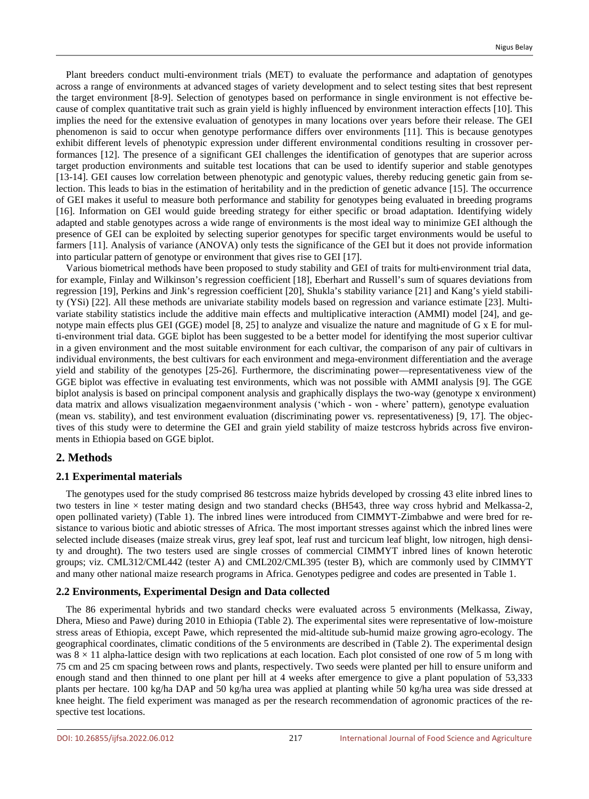Plant breeders conduct multi-environment trials (MET) to evaluate the performance and adaptation of genotypes across a range of environments at advanced stages of variety development and to select testing sites that best represent the target environment [8-9]. Selection of genotypes based on performance in single environment is not effective because of complex quantitative trait such as grain yield is highly influenced by environment interaction effects [10]. This implies the need for the extensive evaluation of genotypes in many locations over years before their release. The GEI phenomenon is said to occur when genotype performance differs over environments [11]. This is because genotypes exhibit different levels of phenotypic expression under different environmental conditions resulting in crossover performances [12]. The presence of a significant GEI challenges the identification of genotypes that are superior across target production environments and suitable test locations that can be used to identify superior and stable genotypes [13-14]. GEI causes low correlation between phenotypic and genotypic values, thereby reducing genetic gain from selection. This leads to bias in the estimation of heritability and in the prediction of genetic advance [15]. The occurrence of GEI makes it useful to measure both performance and stability for genotypes being evaluated in breeding programs [16]. Information on GEI would guide breeding strategy for either specific or broad adaptation. Identifying widely adapted and stable genotypes across a wide range of environments is the most ideal way to minimize GEI although the presence of GEI can be exploited by selecting superior genotypes for specific target environments would be useful to farmers [11]. Analysis of variance (ANOVA) only tests the significance of the GEI but it does not provide information into particular pattern of genotype or environment that gives rise to GEI [17].

Various biometrical methods have been proposed to study stability and GEI of traits for multi‐environment trial data, for example, Finlay and Wilkinson's regression coefficient [18], Eberhart and Russell's sum of squares deviations from regression [19], Perkins and Jink's regression coefficient [20], Shukla's stability variance [21] and Kang's yield stability (YSi) [22]. All these methods are univariate stability models based on regression and variance estimate [23]. Multivariate stability statistics include the additive main effects and multiplicative interaction (AMMI) model [24], and genotype main effects plus GEI (GGE) model [8, 25] to analyze and visualize the nature and magnitude of G x E for multi-environment trial data. GGE biplot has been suggested to be a better model for identifying the most superior cultivar in a given environment and the most suitable environment for each cultivar, the comparison of any pair of cultivars in individual environments, the best cultivars for each environment and mega-environment differentiation and the average yield and stability of the genotypes [25-26]. Furthermore, the discriminating power—representativeness view of the GGE biplot was effective in evaluating test environments, which was not possible with AMMI analysis [9]. The GGE biplot analysis is based on principal component analysis and graphically displays the two-way (genotype x environment) data matrix and allows visualization megaenvironment analysis ('which - won - where' pattern), genotype evaluation (mean vs. stability), and test environment evaluation (discriminating power vs. representativeness) [9, 17]. The objectives of this study were to determine the GEI and grain yield stability of maize testcross hybrids across five environments in Ethiopia based on GGE biplot.

## **2. Methods**

## **2.1 Experimental materials**

The genotypes used for the study comprised 86 testcross maize hybrids developed by crossing 43 elite inbred lines to two testers in line × tester mating design and two standard checks (BH543, three way cross hybrid and Melkassa-2, open pollinated variety) (Table 1). The inbred lines were introduced from CIMMYT-Zimbabwe and were bred for resistance to various biotic and abiotic stresses of Africa. The most important stresses against which the inbred lines were selected include diseases (maize streak virus, grey leaf spot, leaf rust and turcicum leaf blight, low nitrogen, high density and drought). The two testers used are single crosses of commercial CIMMYT inbred lines of known heterotic groups; viz. CML312/CML442 (tester A) and CML202/CML395 (tester B), which are commonly used by CIMMYT and many other national maize research programs in Africa. Genotypes pedigree and codes are presented in Table 1.

#### **2.2 Environments, Experimental Design and Data collected**

The 86 experimental hybrids and two standard checks were evaluated across 5 environments (Melkassa, Ziway, Dhera, Mieso and Pawe) during 2010 in Ethiopia (Table 2). The experimental sites were representative of low-moisture stress areas of Ethiopia, except Pawe, which represented the mid-altitude sub-humid maize growing agro-ecology. The geographical coordinates, climatic conditions of the 5 environments are described in (Table 2). The experimental design was  $8 \times 11$  alpha-lattice design with two replications at each location. Each plot consisted of one row of 5 m long with 75 cm and 25 cm spacing between rows and plants, respectively. Two seeds were planted per hill to ensure uniform and enough stand and then thinned to one plant per hill at 4 weeks after emergence to give a plant population of 53,333 plants per hectare. 100 kg/ha DAP and 50 kg/ha urea was applied at planting while 50 kg/ha urea was side dressed at knee height. The field experiment was managed as per the research recommendation of agronomic practices of the respective test locations.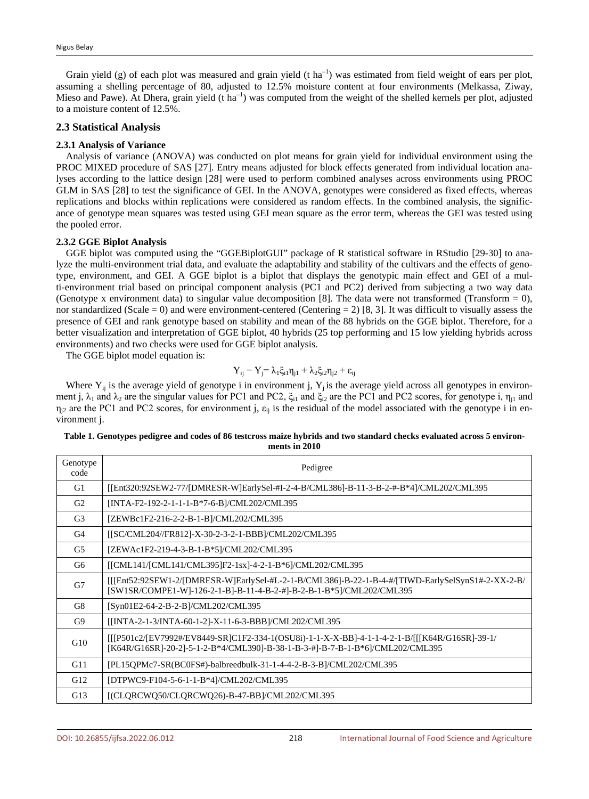Grain yield (g) of each plot was measured and grain yield  $(t \, ha^{-1})$  was estimated from field weight of ears per plot, assuming a shelling percentage of 80, adjusted to 12.5% moisture content at four environments (Melkassa, Ziway, Mieso and Pawe). At Dhera, grain yield (t ha<sup>-1</sup>) was computed from the weight of the shelled kernels per plot, adjusted to a moisture content of 12.5%.

## **2.3 Statistical Analysis**

#### **2.3.1 Analysis of Variance**

Analysis of variance (ANOVA) was conducted on plot means for grain yield for individual environment using the PROC MIXED procedure of SAS [27]. Entry means adjusted for block effects generated from individual location analyses according to the lattice design [28] were used to perform combined analyses across environments using PROC GLM in SAS [28] to test the significance of GEI. In the ANOVA, genotypes were considered as fixed effects, whereas replications and blocks within replications were considered as random effects. In the combined analysis, the significance of genotype mean squares was tested using GEI mean square as the error term, whereas the GEI was tested using the pooled error.

#### **2.3.2 GGE Biplot Analysis**

GGE biplot was computed using the "GGEBiplotGUI" package of R statistical software in RStudio [29-30] to analyze the multi-environment trial data, and evaluate the adaptability and stability of the cultivars and the effects of genotype, environment, and GEI. A GGE biplot is a biplot that displays the genotypic main effect and GEI of a multi-environment trial based on principal component analysis (PC1 and PC2) derived from subjecting a two way data (Genotype x environment data) to singular value decomposition [8]. The data were not transformed (Transform  $= 0$ ), nor standardized (Scale = 0) and were environment-centered (Centering = 2) [8, 3]. It was difficult to visually assess the presence of GEI and rank genotype based on stability and mean of the 88 hybrids on the GGE biplot. Therefore, for a better visualization and interpretation of GGE biplot, 40 hybrids (25 top performing and 15 low yielding hybrids across environments) and two checks were used for GGE biplot analysis.

The GGE biplot model equation is:

$$
Y_{ij} - Y_j = \lambda_1 \xi_{i1} \eta_{j1} + \lambda_2 \xi_{i2} \eta_{j2} + \epsilon_{ij}
$$

Where  $Y_{ij}$  is the average yield of genotype i in environment j,  $Y_i$  is the average yield across all genotypes in environment j,  $\lambda_1$  and  $\lambda_2$  are the singular values for PC1 and PC2,  $\xi_{i1}$  and  $\xi_{i2}$  are the PC1 and PC2 scores, for genotype i,  $\eta_{i1}$  and  $\eta_{i2}$  are the PC1 and PC2 scores, for environment j,  $\varepsilon_{ii}$  is the residual of the model associated with the genotype i in environment j.

| Table 1. Genotypes pedigree and codes of 86 testcross maize hybrids and two standard checks evaluated across 5 environ- |  |
|-------------------------------------------------------------------------------------------------------------------------|--|
| ments in 2010                                                                                                           |  |

| Genotype<br>code | Pedigree                                                                                                                                                                       |
|------------------|--------------------------------------------------------------------------------------------------------------------------------------------------------------------------------|
| G1               | [[Ent320:92SEW2-77/[DMRESR-W]EarlySel-#I-2-4-B/CML386]-B-11-3-B-2-#-B*4]/CML202/CML395                                                                                         |
| G <sub>2</sub>   | [INTA-F2-192-2-1-1-1-B*7-6-B]/CML202/CML395                                                                                                                                    |
| G <sub>3</sub>   | [ZEWBc1F2-216-2-2-B-1-B]/CML202/CML395                                                                                                                                         |
| G4               | [[SC/CML204//FR812]-X-30-2-3-2-1-BBB]/CML202/CML395                                                                                                                            |
| G5               | [ZEWAc1F2-219-4-3-B-1-B*5]/CML202/CML395                                                                                                                                       |
| G6               | [[CML141/[CML141/CML395]F2-1sx]-4-2-1-B*6]/CML202/CML395                                                                                                                       |
| G7               | $[[[Ent52:92SEW1-2/[DMRESR-W]EarlySel-HL-2-1-B/CML386]-B-22-1-B-4+#/[TIWD-EarlySelSynS1#-2-XX-2-B/$<br>[SW1SR/COMPE1-W]-126-2-1-B]-B-11-4-B-2-#]-B-2-B-1-B*5]/CML202/CML395    |
| G8               | [Syn01E2-64-2-B-2-B]/CML202/CML395                                                                                                                                             |
| G9               | [INTA-2-1-3/INTA-60-1-2]-X-11-6-3-BBB]/CML202/CML395                                                                                                                           |
| G10              | [[[P501c2/[EV7992#/EV8449-SR]C1F2-334-1(OSU8i)-1-1-X-X-BB]-4-1-1-4-2-1-B/[[[K64R/G16SR]-39-1/<br>[K64R/G16SR]-20-2]-5-1-2-B*4/CML390]-B-38-1-B-3-#]-B-7-B-1-B*6]/CML202/CML395 |
| G11              | [PL15OPMc7-SR(BC0FS#)-balbreedbulk-31-1-4-4-2-B-3-B]/CML202/CML395                                                                                                             |
| G <sub>12</sub>  | [DTPWC9-F104-5-6-1-1-B*4]/CML202/CML395                                                                                                                                        |
| G13              | [(CLQRCWQ50/CLQRCWQ26)-B-47-BB]/CML202/CML395                                                                                                                                  |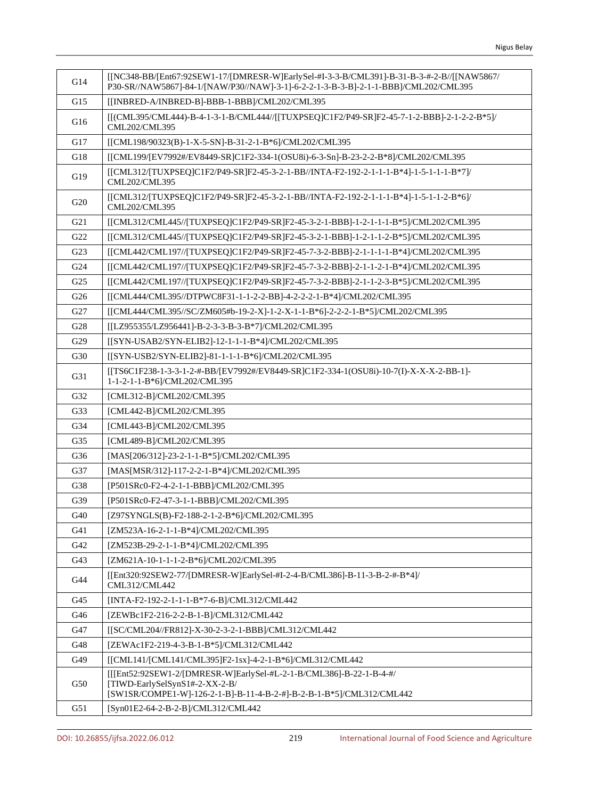| G14             | [[NC348-BB/[Ent67:92SEW1-17/[DMRESR-W]EarlySel-#I-3-3-B/CML391]-B-31-B-3-#-2-B//[[NAW5867/<br>P30-SR//NAW5867]-84-1/[NAW/P30//NAW]-3-1]-6-2-2-1-3-B-3-B]-2-1-1-BBB]/CML202/CML395 |
|-----------------|-----------------------------------------------------------------------------------------------------------------------------------------------------------------------------------|
| G15             | [[INBRED-A/INBRED-B]-BBB-1-BBB]/CML202/CML395                                                                                                                                     |
| G16             | [[(CML395/CML444)-B-4-1-3-1-B/CML444//[[TUXPSEQ]C1F2/P49-SR]F2-45-7-1-2-BBB]-2-1-2-2-B*5]/<br>CML202/CML395                                                                       |
| G17             | [[CML198/90323(B)-1-X-5-SN]-B-31-2-1-B*6]/CML202/CML395                                                                                                                           |
| G18             | [[CML199/[EV7992#/EV8449-SR]C1F2-334-1(OSU8i)-6-3-Sn]-B-23-2-2-B*8]/CML202/CML395                                                                                                 |
| G19             | [[CML312/[TUXPSEQ]C1F2/P49-SR]F2-45-3-2-1-BB//INTA-F2-192-2-1-1-1-B*4]-1-5-1-1-1-B*7]/<br>CML202/CML395                                                                           |
| G <sub>20</sub> | [[CML312/[TUXPSEQ]C1F2/P49-SR]F2-45-3-2-1-BB//INTA-F2-192-2-1-1-1-B*4]-1-5-1-1-2-B*6]/<br>CML202/CML395                                                                           |
| G21             | [[CML312/CML445//[TUXPSEQ]C1F2/P49-SR]F2-45-3-2-1-BBB]-1-2-1-1-1-B*5]/CML202/CML395                                                                                               |
| G22             | [[CML312/CML445//[TUXPSEQ]C1F2/P49-SR]F2-45-3-2-1-BBB]-1-2-1-1-2-B*5]/CML202/CML395                                                                                               |
| G23             | [[CML442/CML197//[TUXPSEQ]C1F2/P49-SR]F2-45-7-3-2-BBB]-2-1-1-1-1-B*4]/CML202/CML395                                                                                               |
| G24             | [[CML442/CML197//[TUXPSEQ]C1F2/P49-SR]F2-45-7-3-2-BBB]-2-1-1-2-1-B*4]/CML202/CML395                                                                                               |
| G <sub>25</sub> | [[CML442/CML197//[TUXPSEQ]C1F2/P49-SR]F2-45-7-3-2-BBB]-2-1-1-2-3-B*5]/CML202/CML395                                                                                               |
| G <sub>26</sub> | [[CML444/CML395//DTPWC8F31-1-1-2-2-BB]-4-2-2-2-1-B*4]/CML202/CML395                                                                                                               |
| G27             | [[CML444/CML395//SC/ZM605#b-19-2-X]-1-2-X-1-1-B*6]-2-2-2-1-B*5]/CML202/CML395                                                                                                     |
| G28             | [[LZ955355/LZ956441]-B-2-3-3-B-3-B*7]/CML202/CML395                                                                                                                               |
| G29             | [[SYN-USAB2/SYN-ELIB2]-12-1-1-1-B*4]/CML202/CML395                                                                                                                                |
| G30             | [[SYN-USB2/SYN-ELIB2]-81-1-1-1-B*6]/CML202/CML395                                                                                                                                 |
| G31             | [[TS6C1F238-1-3-3-1-2-#-BB/[EV7992#/EV8449-SR]C1F2-334-1(OSU8i)-10-7(I)-X-X-X-2-BB-1]-<br>1-1-2-1-1-B*6]/CML202/CML395                                                            |
| G32             | [CML312-B]/CML202/CML395                                                                                                                                                          |
| G33             | [CML442-B]/CML202/CML395                                                                                                                                                          |
| G34             | [CML443-B]/CML202/CML395                                                                                                                                                          |
| G35             | [CML489-B]/CML202/CML395                                                                                                                                                          |
| G36             | [MAS[206/312]-23-2-1-1-B*5]/CML202/CML395                                                                                                                                         |
| G37             | [MAS[MSR/312]-117-2-2-1-B*4]/CML202/CML395                                                                                                                                        |
| G38             | [P501SRc0-F2-4-2-1-1-BBB]/CML202/CML395                                                                                                                                           |
| G39             | [P501SRc0-F2-47-3-1-1-BBB]/CML202/CML395                                                                                                                                          |
| G40             | [Z97SYNGLS(B)-F2-188-2-1-2-B*6]/CML202/CML395                                                                                                                                     |
| G41             | [ZM523A-16-2-1-1-B*4]/CML202/CML395                                                                                                                                               |
| G42             | [ZM523B-29-2-1-1-B*4]/CML202/CML395                                                                                                                                               |
| G43             | [ZM621A-10-1-1-1-2-B*6]/CML202/CML395                                                                                                                                             |
| G44             | [[Ent320:92SEW2-77/[DMRESR-W]EarlySel-#I-2-4-B/CML386]-B-11-3-B-2-#-B*4]/<br>CML312/CML442                                                                                        |
| G45             | [INTA-F2-192-2-1-1-1-B*7-6-B]/CML312/CML442                                                                                                                                       |
| G46             | [ZEWBc1F2-216-2-2-B-1-B]/CML312/CML442                                                                                                                                            |
| G47             | [[SC/CML204//FR812]-X-30-2-3-2-1-BBB]/CML312/CML442                                                                                                                               |
| G48             | [ZEWAc1F2-219-4-3-B-1-B*5]/CML312/CML442                                                                                                                                          |
| G49             | [[CML141/[CML141/CML395]F2-1sx]-4-2-1-B*6]/CML312/CML442                                                                                                                          |
| G50             | [[[Ent52:92SEW1-2/[DMRESR-W]EarlySel-#L-2-1-B/CML386]-B-22-1-B-4-#/<br>[TIWD-EarlySelSynS1#-2-XX-2-B/<br>[SW1SR/COMPE1-W]-126-2-1-B]-B-11-4-B-2-#]-B-2-B-1-B*5]/CML312/CML442     |
| G51             | [Syn01E2-64-2-B-2-B]/CML312/CML442                                                                                                                                                |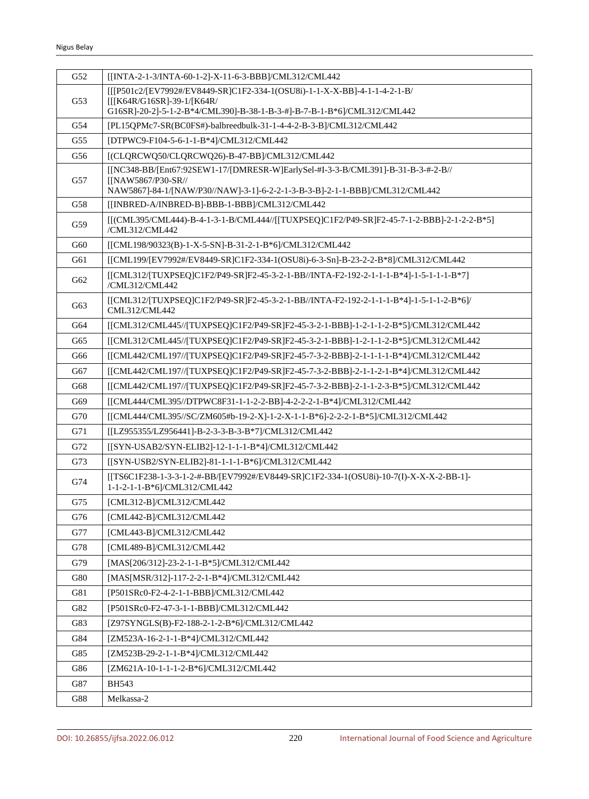| G52 | [[INTA-2-1-3/INTA-60-1-2]-X-11-6-3-BBB]/CML312/CML442                                                                  |
|-----|------------------------------------------------------------------------------------------------------------------------|
|     | [[[P501c2/[EV7992#/EV8449-SR]C1F2-334-1(OSU8i)-1-1-X-X-BB]-4-1-1-4-2-1-B/                                              |
| G53 | [[[K64R/G16SR]-39-1/[K64R/<br>G16SR]-20-2]-5-1-2-B*4/CML390]-B-38-1-B-3-#]-B-7-B-1-B*6]/CML312/CML442                  |
| G54 | [PL15QPMc7-SR(BC0FS#)-balbreedbulk-31-1-4-4-2-B-3-B]/CML312/CML442                                                     |
| G55 | [DTPWC9-F104-5-6-1-1-B*4]/CML312/CML442                                                                                |
| G56 | [(CLQRCWQ50/CLQRCWQ26)-B-47-BB]/CML312/CML442                                                                          |
|     | [[NC348-BB/[Ent67:92SEW1-17/[DMRESR-W]EarlySel-#I-3-3-B/CML391]-B-31-B-3-#-2-B//                                       |
| G57 | [[NAW5867/P30-SR//                                                                                                     |
|     | NAW5867]-84-1/[NAW/P30//NAW]-3-1]-6-2-2-1-3-B-3-B]-2-1-1-BBB]/CML312/CML442                                            |
| G58 | [[INBRED-A/INBRED-B]-BBB-1-BBB]/CML312/CML442                                                                          |
| G59 | [[(CML395/CML444)-B-4-1-3-1-B/CML444//[[TUXPSEQ]C1F2/P49-SR]F2-45-7-1-2-BBB]-2-1-2-2-B*5]<br>/CML312/CML442            |
| G60 | [[CML198/90323(B)-1-X-5-SN]-B-31-2-1-B*6]/CML312/CML442                                                                |
| G61 | [[CML199/[EV7992#/EV8449-SR]C1F2-334-1(OSU8i)-6-3-Sn]-B-23-2-2-B*8]/CML312/CML442                                      |
| G62 | [[CML312/[TUXPSEQ]C1F2/P49-SR]F2-45-3-2-1-BB//INTA-F2-192-2-1-1-1-B*4]-1-5-1-1-1-B*7]<br>/CML312/CML442                |
| G63 | [[CML312/[TUXPSEQ]C1F2/P49-SR]F2-45-3-2-1-BB//INTA-F2-192-2-1-1-1-B*4]-1-5-1-1-2-B*6]/<br>CML312/CML442                |
| G64 | [[CML312/CML445//[TUXPSEQ]C1F2/P49-SR]F2-45-3-2-1-BBB]-1-2-1-1-2-B*5]/CML312/CML442                                    |
| G65 | [[CML312/CML445//[TUXPSEQ]C1F2/P49-SR]F2-45-3-2-1-BBB]-1-2-1-1-2-B*5]/CML312/CML442                                    |
| G66 | [[CML442/CML197//[TUXPSEQ]C1F2/P49-SR]F2-45-7-3-2-BBB]-2-1-1-1-1-B*4]/CML312/CML442                                    |
| G67 | [[CML442/CML197//[TUXPSEQ]C1F2/P49-SR]F2-45-7-3-2-BBB]-2-1-1-2-1-B*4]/CML312/CML442                                    |
| G68 | [[CML442/CML197//[TUXPSEQ]C1F2/P49-SR]F2-45-7-3-2-BBB]-2-1-1-2-3-B*5]/CML312/CML442                                    |
| G69 | [[CML444/CML395//DTPWC8F31-1-1-2-2-BB]-4-2-2-2-1-B*4]/CML312/CML442                                                    |
| G70 | [[CML444/CML395//SC/ZM605#b-19-2-X]-1-2-X-1-1-B*6]-2-2-2-1-B*5]/CML312/CML442                                          |
| G71 | [[LZ955355/LZ956441]-B-2-3-3-B-3-B*7]/CML312/CML442                                                                    |
| G72 | [[SYN-USAB2/SYN-ELIB2]-12-1-1-1-B*4]/CML312/CML442                                                                     |
| G73 | [[SYN-USB2/SYN-ELIB2]-81-1-1-1-B*6]/CML312/CML442                                                                      |
| G74 | [[TS6C1F238-1-3-3-1-2-#-BB/[EV7992#/EV8449-SR]C1F2-334-1(OSU8i)-10-7(I)-X-X-X-2-BB-1]-<br>1-1-2-1-1-B*6]/CML312/CML442 |
| G75 | [CML312-B]/CML312/CML442                                                                                               |
| G76 | [CML442-B]/CML312/CML442                                                                                               |
| G77 | [CML443-B]/CML312/CML442                                                                                               |
| G78 | [CML489-B]/CML312/CML442                                                                                               |
| G79 | [MAS[206/312]-23-2-1-1-B*5]/CML312/CML442                                                                              |
| G80 | [MAS[MSR/312]-117-2-2-1-B*4]/CML312/CML442                                                                             |
| G81 | [P501SRc0-F2-4-2-1-1-BBB]/CML312/CML442                                                                                |
| G82 | [P501SRc0-F2-47-3-1-1-BBB]/CML312/CML442                                                                               |
| G83 | [Z97SYNGLS(B)-F2-188-2-1-2-B*6]/CML312/CML442                                                                          |
| G84 | [ZM523A-16-2-1-1-B*4]/CML312/CML442                                                                                    |
| G85 | [ZM523B-29-2-1-1-B*4]/CML312/CML442                                                                                    |
| G86 | [ZM621A-10-1-1-1-2-B*6]/CML312/CML442                                                                                  |
| G87 | <b>BH543</b>                                                                                                           |
| G88 | Melkassa-2                                                                                                             |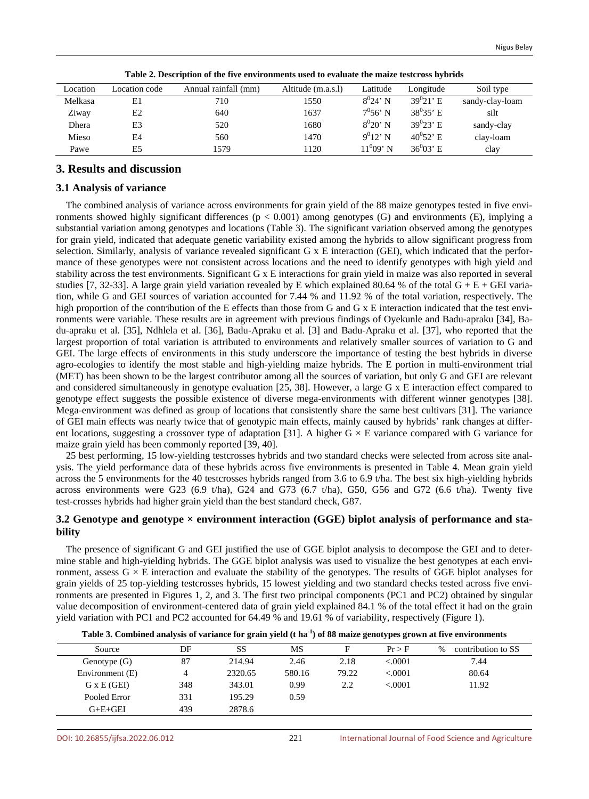| Location | Location code | Annual rainfall (mm) | Altitude (m.a.s.l) | Latitude     | Longitude                 | Soil type       |
|----------|---------------|----------------------|--------------------|--------------|---------------------------|-----------------|
| Melkasa  | E1            | 710                  | 1550               | $8^{0}24'$ N | $39^{0}21'$ E             | sandy-clay-loam |
| Ziway    | E2            | 640                  | 1637               | $7^0 56'$ N  | $38^{0}35$ <sup>'</sup> E | silt            |
| Dhera    | E3            | 520                  | 1680               | $8^{0}20'$ N | $39^{0}23$ <sup>'</sup> E | sandy-clay      |
| Mieso    | E4            | 560                  | 1470               | $9^{0}12'$ N | $40^0 52$ ' E             | clay-loam       |
| Pawe     | E5            | 1579                 | 1120               | $11^0$ 09' N | $36^{0}03$ <sup>t</sup> E | clay            |

**Table 2. Description of the five environments used to evaluate the maize testcross hybrids**

# **3. Results and discussion**

## **3.1 Analysis of variance**

The combined analysis of variance across environments for grain yield of the 88 maize genotypes tested in five environments showed highly significant differences (p < 0.001) among genotypes (G) and environments (E), implying a substantial variation among genotypes and locations (Table 3). The significant variation observed among the genotypes for grain yield, indicated that adequate genetic variability existed among the hybrids to allow significant progress from selection. Similarly, analysis of variance revealed significant G x E interaction (GEI), which indicated that the performance of these genotypes were not consistent across locations and the need to identify genotypes with high yield and stability across the test environments. Significant G x E interactions for grain yield in maize was also reported in several studies [7, 32-33]. A large grain yield variation revealed by E which explained 80.64 % of the total  $G + E + GEI$  variation, while G and GEI sources of variation accounted for 7.44 % and 11.92 % of the total variation, respectively. The high proportion of the contribution of the E effects than those from G and G x E interaction indicated that the test environments were variable. These results are in agreement with previous findings of Oyekunle and Badu-apraku [34], Badu-apraku et al. [35], Ndhlela et al. [36], Badu-Apraku et al. [3] and Badu-Apraku et al. [37], who reported that the largest proportion of total variation is attributed to environments and relatively smaller sources of variation to G and GEI. The large effects of environments in this study underscore the importance of testing the best hybrids in diverse agro-ecologies to identify the most stable and high-yielding maize hybrids. The E portion in multi-environment trial (MET) has been shown to be the largest contributor among all the sources of variation, but only G and GEI are relevant and considered simultaneously in genotype evaluation [25, 38]. However, a large G x E interaction effect compared to genotype effect suggests the possible existence of diverse mega-environments with different winner genotypes [38]. Mega-environment was defined as group of locations that consistently share the same best cultivars [31]. The variance of GEI main effects was nearly twice that of genotypic main effects, mainly caused by hybrids' rank changes at different locations, suggesting a crossover type of adaptation [31]. A higher  $G \times E$  variance compared with G variance for maize grain yield has been commonly reported [39, 40].

25 best performing, 15 low-yielding testcrosses hybrids and two standard checks were selected from across site analysis. The yield performance data of these hybrids across five environments is presented in Table 4. Mean grain yield across the 5 environments for the 40 testcrosses hybrids ranged from 3.6 to 6.9 t/ha. The best six high-yielding hybrids across environments were G23 (6.9 t/ha), G24 and G73 (6.7 t/ha), G50, G56 and G72 (6.6 t/ha). Twenty five test-crosses hybrids had higher grain yield than the best standard check, G87.

## **3.2 Genotype and genotype × environment interaction (GGE) biplot analysis of performance and stability**

The presence of significant G and GEI justified the use of GGE biplot analysis to decompose the GEI and to determine stable and high-yielding hybrids. The GGE biplot analysis was used to visualize the best genotypes at each environment, assess  $G \times E$  interaction and evaluate the stability of the genotypes. The results of GGE biplot analyses for grain yields of 25 top-yielding testcrosses hybrids, 15 lowest yielding and two standard checks tested across five environments are presented in Figures 1, 2, and 3. The first two principal components (PC1 and PC2) obtained by singular value decomposition of environment-centered data of grain yield explained 84.1 % of the total effect it had on the grain yield variation with PC1 and PC2 accounted for 64.49 % and 19.61 % of variability, respectively (Figure 1).

|                    |     | $\overline{\phantom{a}}$ |        | $\rightarrow$ | .        |                            |
|--------------------|-----|--------------------------|--------|---------------|----------|----------------------------|
| Source             | DF  | SS                       | MS     |               | Pr > F   | contribution to SS<br>$\%$ |
| Genotype $(G)$     | 87  | 214.94                   | 2.46   | 2.18          | < 0.0001 | 7.44                       |
| Environment (E)    | 4   | 2320.65                  | 580.16 | 79.22         | < 0.0001 | 80.64                      |
| $G \times E$ (GEI) | 348 | 343.01                   | 0.99   | 2.2           | < 0.0001 | 11.92                      |
| Pooled Error       | 331 | 195.29                   | 0.59   |               |          |                            |
| $G+E+GEI$          | 439 | 2878.6                   |        |               |          |                            |
|                    |     |                          |        |               |          |                            |

| Table 3. Combined analysis of variance for grain yield $(t \, \text{ha}^{-1})$ of 88 maize genotypes grown at five environments |  |  |  |  |  |  |  |  |  |  |  |
|---------------------------------------------------------------------------------------------------------------------------------|--|--|--|--|--|--|--|--|--|--|--|
|---------------------------------------------------------------------------------------------------------------------------------|--|--|--|--|--|--|--|--|--|--|--|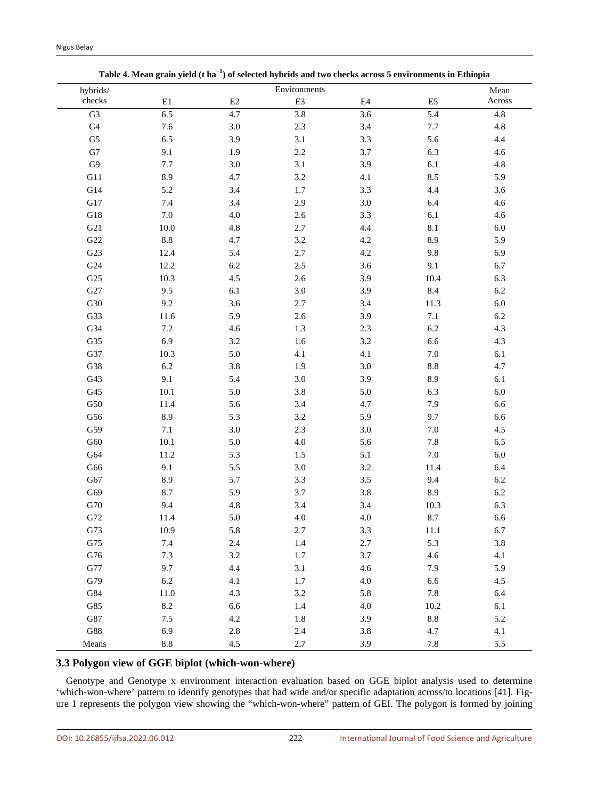| hybrids/       |                 |          | Environments |          |                 | Mean    |
|----------------|-----------------|----------|--------------|----------|-----------------|---------|
| ${\rm check }$ | $\rm E1$        | $\rm E2$ | E3           | $\rm E4$ | ${\rm E}5$      | Across  |
| ${\rm G}3$     | 6.5             | 4.7      | 3.8          | 3.6      | 5.4             | 4.8     |
| ${\rm G}4$     | 7.6             | $3.0\,$  | $2.3\,$      | $3.4\,$  | $7.7\,$         | 4.8     |
| ${\rm G}5$     | 6.5             | 3.9      | 3.1          | 3.3      | 5.6             | 4.4     |
| ${\rm G}7$     | 9.1             | 1.9      | $2.2\,$      | 3.7      | 6.3             | $4.6\,$ |
| ${\rm G}9$     | $7.7\,$         | $3.0\,$  | 3.1          | 3.9      | $6.1\,$         | $4.8\,$ |
| G11            | 8.9             | 4.7      | 3.2          | 4.1      | 8.5             | 5.9     |
| ${\rm G}14$    | 5.2             | $3.4\,$  | $1.7\,$      | $3.3\,$  | 4.4             | 3.6     |
| ${\rm G}17$    | 7.4             | 3.4      | 2.9          | 3.0      | 6.4             | $4.6\,$ |
| ${\rm G}18$    | $7.0\,$         | $4.0\,$  | $2.6\,$      | 3.3      | 6.1             | $4.6\,$ |
| G21            | $10.0\,$        | 4.8      | $2.7\,$      | 4.4      | 8.1             | $6.0\,$ |
| ${\rm G}22$    | $\!\!\!\!\!8.8$ | 4.7      | 3.2          | 4.2      | 8.9             | 5.9     |
| G23            | 12.4            | 5.4      | $2.7\,$      | 4.2      | 9.8             | 6.9     |
| ${\rm G}24$    | 12.2            | $6.2\,$  | $2.5\,$      | 3.6      | 9.1             | 6.7     |
| G25            | 10.3            | 4.5      | $2.6\,$      | 3.9      | 10.4            | 6.3     |
| ${\rm G}27$    | 9.5             | 6.1      | $3.0\,$      | 3.9      | 8.4             | $6.2\,$ |
| G30            | 9.2             | 3.6      | 2.7          | 3.4      | 11.3            | $6.0\,$ |
| G33            | 11.6            | 5.9      | 2.6          | 3.9      | $7.1\,$         | $6.2\,$ |
| G34            | $7.2\,$         | 4.6      | 1.3          | 2.3      | 6.2             | 4.3     |
| G35            | 6.9             | $3.2\,$  | $1.6\,$      | 3.2      | 6.6             | 4.3     |
| G37            | 10.3            | $5.0\,$  | 4.1          | 4.1      | $7.0\,$         | 6.1     |
| G38            | $6.2\,$         | $3.8\,$  | 1.9          | 3.0      | $8.8\,$         | 4.7     |
| G43            | 9.1             | 5.4      | $3.0\,$      | 3.9      | 8.9             | $6.1\,$ |
| ${\rm G}45$    | $10.1\,$        | 5.0      | 3.8          | 5.0      | 6.3             | $6.0\,$ |
| ${\rm G50}$    | 11.4            | 5.6      | 3.4          | 4.7      | 7.9             | 6.6     |
| G56            | 8.9             | 5.3      | 3.2          | 5.9      | 9.7             | 6.6     |
| G59            | 7.1             | $3.0\,$  | $2.3\,$      | 3.0      | $7.0\,$         | 4.5     |
| ${\rm G60}$    | $10.1\,$        | 5.0      | $4.0\,$      | 5.6      | $7.8\,$         | 6.5     |
| ${\rm G}64$    | 11.2            | 5.3      | 1.5          | 5.1      | $7.0\,$         | $6.0\,$ |
| ${\rm G66}$    | 9.1             | 5.5      | $3.0\,$      | 3.2      | 11.4            | 6.4     |
| ${\rm G67}$    | 8.9             | 5.7      | 3.3          | 3.5      | 9.4             | $6.2\,$ |
| G69            | 8.7             | 5.9      | 3.7          | $3.8\,$  | 8.9             | $6.2\,$ |
| G70            | 9.4             | 4.8      | 3.4          | 3.4      | 10.3            | 6.3     |
| G72            | 11.4            | 5.0      | 4.0          | 4.0      | 8.7             | 6.6     |
| G73            | 10.9            | 5.8      | 2.7          | 3.3      | 11.1            | 6.7     |
| ${\rm G75}$    | $7.4\,$         | 2.4      | $1.4\,$      | 2.7      | 5.3             | 3.8     |
| ${\rm G76}$    | $7.3\,$         | $3.2\,$  | $1.7\,$      | 3.7      | 4.6             | 4.1     |
| ${\rm G}77$    | 9.7             | $4.4\,$  | 3.1          | 4.6      | 7.9             | 5.9     |
| G79            | $6.2\,$         | 4.1      | $1.7\,$      | $4.0\,$  | 6.6             | 4.5     |
| G84            | 11.0            | 4.3      | 3.2          | 5.8      | $7.8\,$         | 6.4     |
| ${\rm G}85$    | $8.2\,$         | 6.6      | $1.4\,$      | $4.0\,$  | $10.2\,$        | 6.1     |
| ${\rm G}87$    | $7.5\,$         | $4.2\,$  | $1.8\,$      | 3.9      | $\!\!\!\!\!8.8$ | 5.2     |
| ${\rm G}88$    | 6.9             | $2.8\,$  | $2.4\,$      | $3.8\,$  | 4.7             | 4.1     |
| Means          | $\!\!\!\!\!8.8$ | 4.5      | $2.7\,$      | 3.9      | $7.8\,$         | $5.5\,$ |

# **3.3 Polygon view of GGE biplot (which-won-where)**

Genotype and Genotype x environment interaction evaluation based on GGE biplot analysis used to determine 'which-won-where' pattern to identify genotypes that had wide and/or specific adaptation across/to locations [41]. Figure 1 represents the polygon view showing the "which-won-where" pattern of GEI. The polygon is formed by joining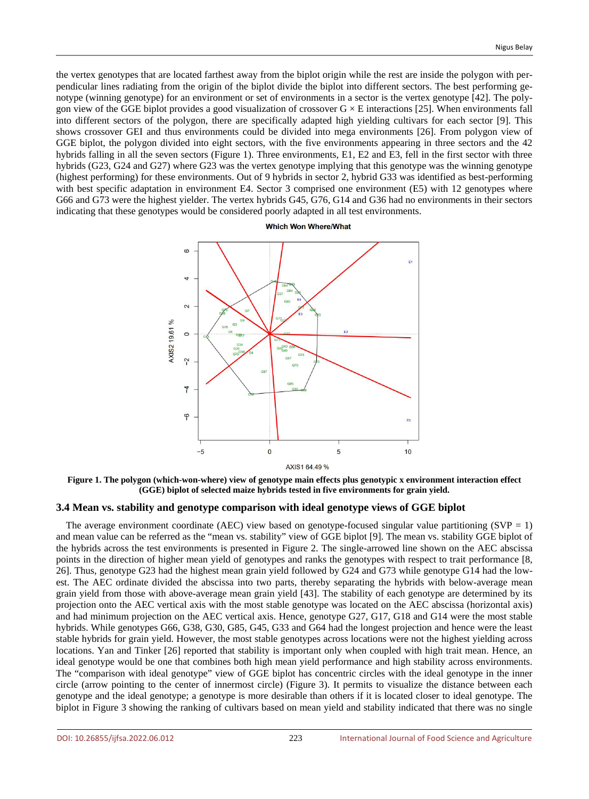the vertex genotypes that are located farthest away from the biplot origin while the rest are inside the polygon with perpendicular lines radiating from the origin of the biplot divide the biplot into different sectors. The best performing genotype (winning genotype) for an environment or set of environments in a sector is the vertex genotype [42]. The polygon view of the GGE biplot provides a good visualization of crossover  $G \times E$  interactions [25]. When environments fall into different sectors of the polygon, there are specifically adapted high yielding cultivars for each sector [9]. This shows crossover GEI and thus environments could be divided into mega environments [26]. From polygon view of GGE biplot, the polygon divided into eight sectors, with the five environments appearing in three sectors and the 42 hybrids falling in all the seven sectors (Figure 1). Three environments, E1, E2 and E3, fell in the first sector with three hybrids (G23, G24 and G27) where G23 was the vertex genotype implying that this genotype was the winning genotype (highest performing) for these environments. Out of 9 hybrids in sector 2, hybrid G33 was identified as best-performing with best specific adaptation in environment E4. Sector 3 comprised one environment (E5) with 12 genotypes where G66 and G73 were the highest yielder. The vertex hybrids G45, G76, G14 and G36 had no environments in their sectors indicating that these genotypes would be considered poorly adapted in all test environments.



**Figure 1. The polygon (which-won-where) view of genotype main effects plus genotypic x environment interaction effect (GGE) biplot of selected maize hybrids tested in five environments for grain yield.**

#### **3.4 Mean vs. stability and genotype comparison with ideal genotype views of GGE biplot**

The average environment coordinate (AEC) view based on genotype-focused singular value partitioning (SVP = 1) and mean value can be referred as the "mean vs. stability" view of GGE biplot [9]. The mean vs. stability GGE biplot of the hybrids across the test environments is presented in Figure 2. The single-arrowed line shown on the AEC abscissa points in the direction of higher mean yield of genotypes and ranks the genotypes with respect to trait performance [8, 26]. Thus, genotype G23 had the highest mean grain yield followed by G24 and G73 while genotype G14 had the lowest. The AEC ordinate divided the abscissa into two parts, thereby separating the hybrids with below-average mean grain yield from those with above-average mean grain yield [43]. The stability of each genotype are determined by its projection onto the AEC vertical axis with the most stable genotype was located on the AEC abscissa (horizontal axis) and had minimum projection on the AEC vertical axis. Hence, genotype G27, G17, G18 and G14 were the most stable hybrids. While genotypes G66, G38, G30, G85, G45, G33 and G64 had the longest projection and hence were the least stable hybrids for grain yield. However, the most stable genotypes across locations were not the highest yielding across locations. Yan and Tinker [26] reported that stability is important only when coupled with high trait mean. Hence, an ideal genotype would be one that combines both high mean yield performance and high stability across environments. The "comparison with ideal genotype" view of GGE biplot has concentric circles with the ideal genotype in the inner circle (arrow pointing to the center of innermost circle) (Figure 3). It permits to visualize the distance between each genotype and the ideal genotype; a genotype is more desirable than others if it is located closer to ideal genotype. The biplot in Figure 3 showing the ranking of cultivars based on mean yield and stability indicated that there was no single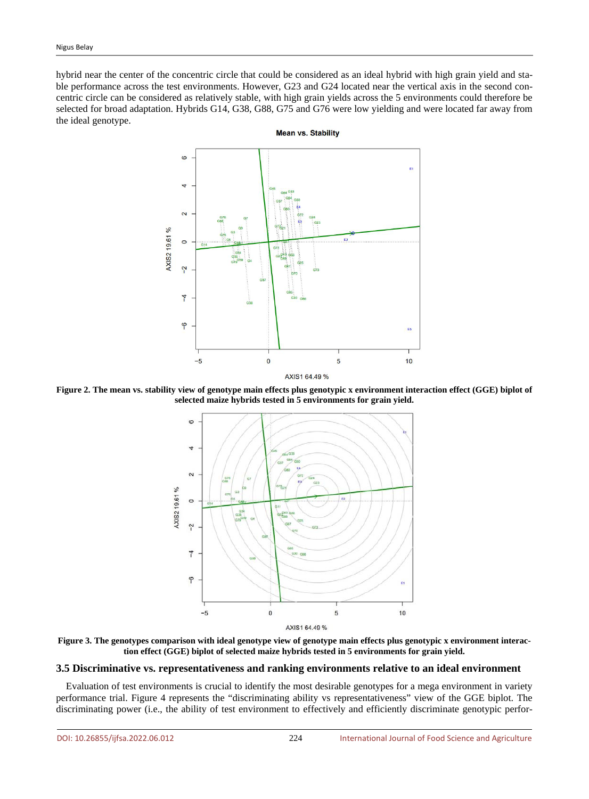hybrid near the center of the concentric circle that could be considered as an ideal hybrid with high grain yield and stable performance across the test environments. However, G23 and G24 located near the vertical axis in the second concentric circle can be considered as relatively stable, with high grain yields across the 5 environments could therefore be selected for broad adaptation. Hybrids G14, G38, G88, G75 and G76 were low yielding and were located far away from the ideal genotype.



**Figure 2. The mean vs. stability view of genotype main effects plus genotypic x environment interaction effect (GGE) biplot of selected maize hybrids tested in 5 environments for grain yield.**



**Figure 3. The genotypes comparison with ideal genotype view of genotype main effects plus genotypic x environment interaction effect (GGE) biplot of selected maize hybrids tested in 5 environments for grain yield.**

## **3.5 Discriminative vs. representativeness and ranking environments relative to an ideal environment**

Evaluation of test environments is crucial to identify the most desirable genotypes for a mega environment in variety performance trial. Figure 4 represents the "discriminating ability vs representativeness" view of the GGE biplot. The discriminating power (i.e., the ability of test environment to effectively and efficiently discriminate genotypic perfor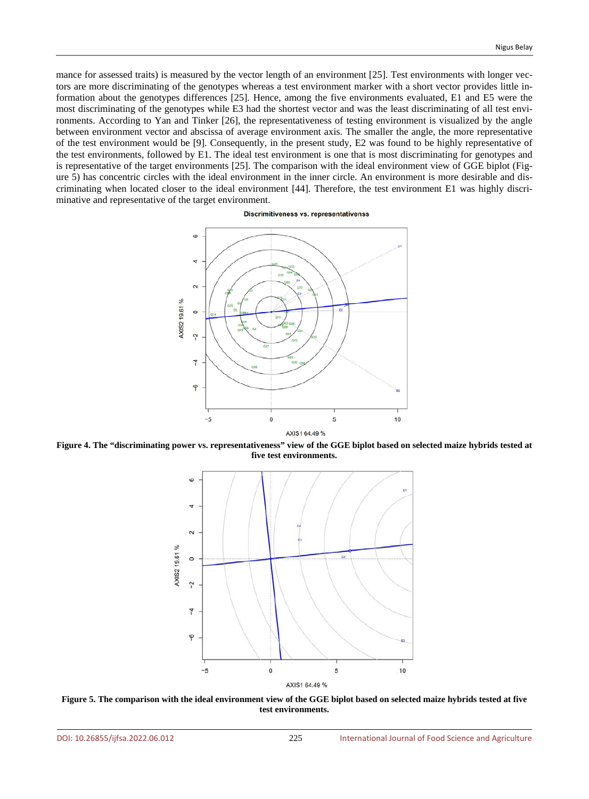mance for assessed traits) is measured by the vector length of an environment [25]. Test environments with longer vectors are more discriminating of the genotypes whereas a test environment marker with a short vector provides little information about the genotypes differences [25]. Hence, among the five environments evaluated, E1 and E5 were the most discriminating of the genotypes while E3 had the shortest vector and was the least discriminating of all test environments. According to Yan and Tinker [26], the representativeness of testing environment is visualized by the angle between environment vector and abscissa of average environment axis. The smaller the angle, the more representative of the test environment would be [9]. Consequently, in the present study, E2 was found to be highly representative of the test environments, followed by E1. The ideal test environment is one that is most discriminating for genotypes and is representative of the target environments [25]. The comparison with the ideal environment view of GGE biplot (Figure 5) has concentric circles with the ideal environment in the inner circle. An environment is more desirable and discriminating when located closer to the ideal environment [44]. Therefore, the test environment E1 was highly discriminative and representative of the target environment.

**Discrimitiveness vs. representativenss** 



**Figure 4. The "discriminating power vs. representativeness" view of the GGE biplot based on selected maize hybrids tested at five test environments.**



**Figure 5. The comparison with the ideal environment view of the GGE biplot based on selected maize hybrids tested at five test environments.**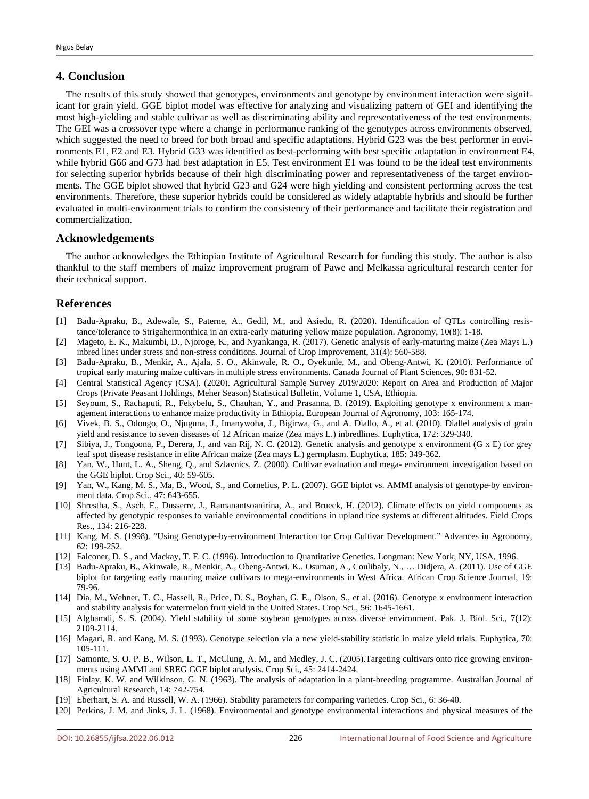# **4. Conclusion**

The results of this study showed that genotypes, environments and genotype by environment interaction were significant for grain yield. GGE biplot model was effective for analyzing and visualizing pattern of GEI and identifying the most high-yielding and stable cultivar as well as discriminating ability and representativeness of the test environments. The GEI was a crossover type where a change in performance ranking of the genotypes across environments observed, which suggested the need to breed for both broad and specific adaptations. Hybrid G23 was the best performer in environments E1, E2 and E3. Hybrid G33 was identified as best-performing with best specific adaptation in environment E4, while hybrid G66 and G73 had best adaptation in E5. Test environment E1 was found to be the ideal test environments for selecting superior hybrids because of their high discriminating power and representativeness of the target environments. The GGE biplot showed that hybrid G23 and G24 were high yielding and consistent performing across the test environments. Therefore, these superior hybrids could be considered as widely adaptable hybrids and should be further evaluated in multi-environment trials to confirm the consistency of their performance and facilitate their registration and commercialization.

## **Acknowledgements**

The author acknowledges the Ethiopian Institute of Agricultural Research for funding this study. The author is also thankful to the staff members of maize improvement program of Pawe and Melkassa agricultural research center for their technical support.

## **References**

- [1] Badu-Apraku, B., Adewale, S., Paterne, A., Gedil, M., and Asiedu, R. (2020). Identification of QTLs controlling resistance/tolerance to Strigahermonthica in an extra-early maturing yellow maize population. Agronomy, 10(8): 1-18.
- [2] Mageto, E. K., Makumbi, D., Njoroge, K., and Nyankanga, R. (2017). Genetic analysis of early-maturing maize (Zea Mays L.) inbred lines under stress and non-stress conditions. Journal of Crop Improvement, 31(4): 560-588.
- [3] Badu-Apraku, B., Menkir, A., Ajala, S. O., Akinwale, R. O., Oyekunle, M., and Obeng-Antwi, K. (2010). Performance of tropical early maturing maize cultivars in multiple stress environments. Canada Journal of Plant Sciences, 90: 831-52.
- [4] Central Statistical Agency (CSA). (2020). Agricultural Sample Survey 2019/2020: Report on Area and Production of Major Crops (Private Peasant Holdings, Meher Season) Statistical Bulletin, Volume 1, CSA, Ethiopia.
- [5] Seyoum, S., Rachaputi, R., Fekybelu, S., Chauhan, Y., and Prasanna, B. (2019). Exploiting genotype x environment x management interactions to enhance maize productivity in Ethiopia. European Journal of Agronomy, 103: 165-174.
- [6] Vivek, B. S., Odongo, O., Njuguna, J., Imanywoha, J., Bigirwa, G., and A. Diallo, A., et al. (2010). Diallel analysis of grain yield and resistance to seven diseases of 12 African maize (Zea mays L.) inbredlines. Euphytica, 172: 329-340.
- [7] Sibiya, J., Tongoona, P., Derera, J., and van Rij, N. C. (2012). Genetic analysis and genotype x environment (G x E) for grey leaf spot disease resistance in elite African maize (Zea mays L.) germplasm. Euphytica, 185: 349-362.
- [8] Yan, W., Hunt, L. A., Sheng, Q., and Szlavnics, Z. (2000). Cultivar evaluation and mega- environment investigation based on the GGE biplot. Crop Sci., 40: 59-605.
- [9] Yan, W., Kang, M. S., Ma, B., Wood, S., and Cornelius, P. L. (2007). GGE biplot vs. AMMI analysis of genotype-by environment data. Crop Sci., 47: 643-655.
- [10] Shrestha, S., Asch, F., Dusserre, J., Ramanantsoanirina, A., and Brueck, H. (2012). Climate effects on yield components as affected by genotypic responses to variable environmental conditions in upland rice systems at different altitudes. Field Crops Res., 134: 216-228.
- [11] Kang, M. S. (1998). "Using Genotype-by-environment Interaction for Crop Cultivar Development." Advances in Agronomy, 62: 199-252.
- [12] Falconer, D. S., and Mackay, T. F. C. (1996). Introduction to Quantitative Genetics. Longman: New York, NY, USA, 1996.
- [13] Badu-Apraku, B., Akinwale, R., Menkir, A., Obeng-Antwi, K., Osuman, A., Coulibaly, N., … Didjera, A. (2011). Use of GGE biplot for targeting early maturing maize cultivars to mega-environments in West Africa. African Crop Science Journal, 19: 79-96.
- [14] Dia, M., Wehner, T. C., Hassell, R., Price, D. S., Boyhan, G. E., Olson, S., et al. (2016). Genotype x environment interaction and stability analysis for watermelon fruit yield in the United States. Crop Sci., 56: 1645-1661.
- [15] Alghamdi, S. S. (2004). Yield stability of some soybean genotypes across diverse environment. Pak. J. Biol. Sci., 7(12): 2109-2114.
- [16] Magari, R. and Kang, M. S. (1993). Genotype selection via a new yield-stability statistic in maize yield trials. Euphytica, 70: 105-111.
- [17] Samonte, S. O. P. B., Wilson, L. T., McClung, A. M., and Medley, J. C. (2005).Targeting cultivars onto rice growing environments using AMMI and SREG GGE biplot analysis. Crop Sci., 45: 2414-2424.
- [18] Finlay, K. W. and Wilkinson, G. N. (1963). The analysis of adaptation in a plant-breeding programme. Australian Journal of Agricultural Research, 14: 742-754.
- [19] Eberhart, S. A. and Russell, W. A. (1966). Stability parameters for comparing varieties. Crop Sci., 6: 36-40.
- [20] Perkins, J. M. and Jinks, J. L. (1968). Environmental and genotype environmental interactions and physical measures of the